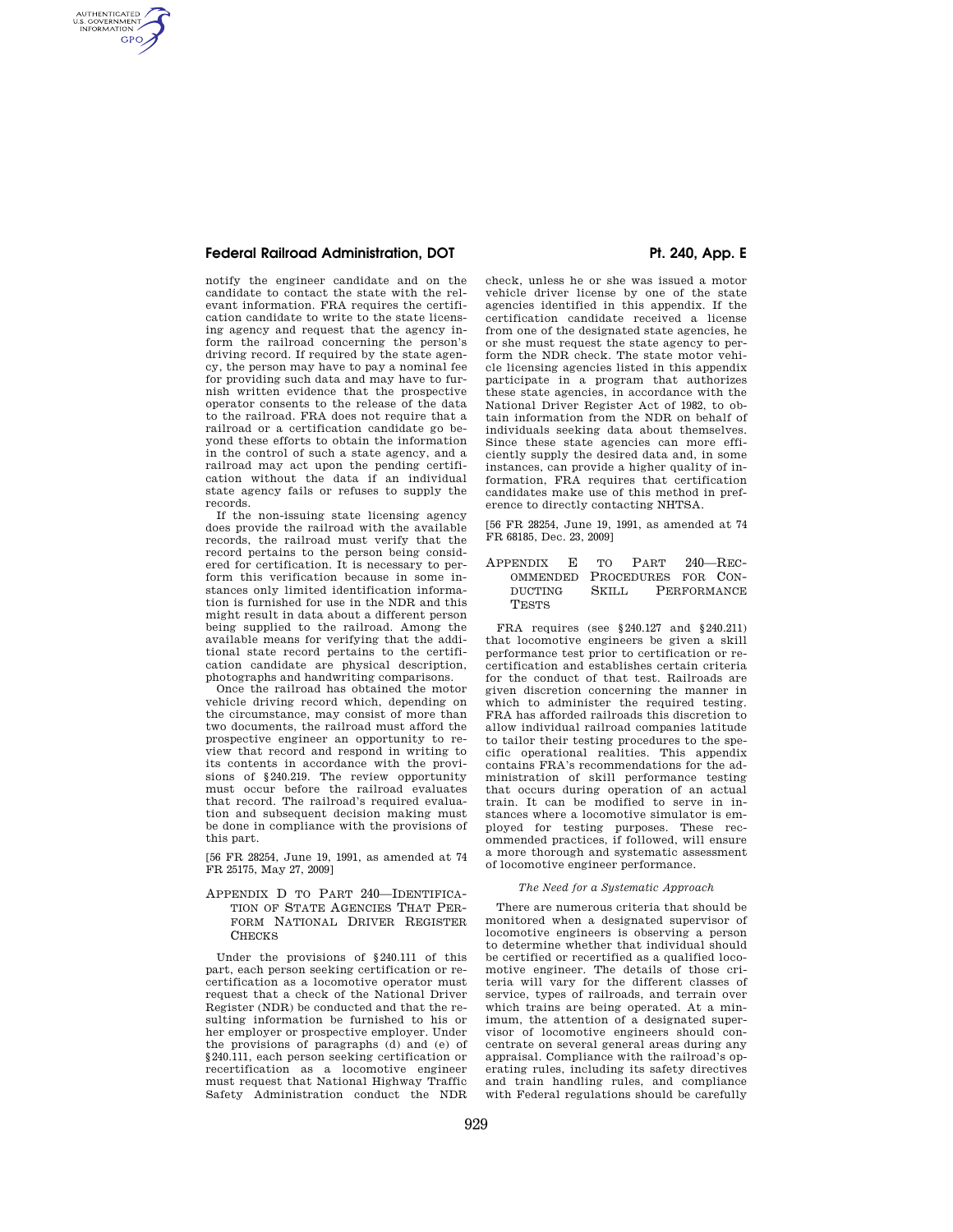# **Federal Railroad Administration, DOT 8. Pt. 240, App. E**

AUTHENTICATED<br>U.S. GOVERNMENT<br>INFORMATION **GPO** 

> notify the engineer candidate and on the candidate to contact the state with the relevant information. FRA requires the certification candidate to write to the state licensing agency and request that the agency inform the railroad concerning the person's driving record. If required by the state agency, the person may have to pay a nominal fee for providing such data and may have to furnish written evidence that the prospective operator consents to the release of the data to the railroad. FRA does not require that a railroad or a certification candidate go beyond these efforts to obtain the information in the control of such a state agency, and a railroad may act upon the pending certification without the data if an individual state agency fails or refuses to supply the records.

> If the non-issuing state licensing agency does provide the railroad with the available records, the railroad must verify that the record pertains to the person being considered for certification. It is necessary to perform this verification because in some instances only limited identification information is furnished for use in the NDR and this might result in data about a different person being supplied to the railroad. Among the available means for verifying that the additional state record pertains to the certification candidate are physical description, photographs and handwriting comparisons.

> Once the railroad has obtained the motor vehicle driving record which, depending on the circumstance, may consist of more than two documents, the railroad must afford the prospective engineer an opportunity to review that record and respond in writing to its contents in accordance with the provisions of §240.219. The review opportunity must occur before the railroad evaluates that record. The railroad's required evaluation and subsequent decision making must be done in compliance with the provisions of this part.

> [56 FR 28254, June 19, 1991, as amended at 74 FR 25175, May 27, 2009]

### APPENDIX D TO PART 240—IDENTIFICA-TION OF STATE AGENCIES THAT PER-FORM NATIONAL DRIVER REGISTER **CHECKS**

Under the provisions of §240.111 of this part, each person seeking certification or recertification as a locomotive operator must request that a check of the National Driver Register (NDR) be conducted and that the resulting information be furnished to his or her employer or prospective employer. Under the provisions of paragraphs (d) and (e) of §240.111, each person seeking certification or recertification as a locomotive engineer must request that National Highway Traffic Safety Administration conduct the NDR

check, unless he or she was issued a motor vehicle driver license by one of the state agencies identified in this appendix. If the certification candidate received a license from one of the designated state agencies, he or she must request the state agency to perform the NDR check. The state motor vehicle licensing agencies listed in this appendix participate in a program that authorizes these state agencies, in accordance with the National Driver Register Act of 1982, to obtain information from the NDR on behalf of individuals seeking data about themselves. Since these state agencies can more efficiently supply the desired data and, in some instances, can provide a higher quality of information, FRA requires that certification candidates make use of this method in preference to directly contacting NHTSA.

[56 FR 28254, June 19, 1991, as amended at 74 FR 68185, Dec. 23, 2009]

# APPENDIX E TO PART 240—REC-OMMENDED PROCEDURES FOR CON-<br>DUCTING SKILL PERFORMANCE PERFORMANCE **TESTS**

FRA requires (see §240.127 and §240.211) that locomotive engineers be given a skill performance test prior to certification or recertification and establishes certain criteria for the conduct of that test. Railroads are given discretion concerning the manner in which to administer the required testing. FRA has afforded railroads this discretion to allow individual railroad companies latitude to tailor their testing procedures to the specific operational realities. This appendix contains FRA's recommendations for the administration of skill performance testing that occurs during operation of an actual train. It can be modified to serve in instances where a locomotive simulator is employed for testing purposes. These recommended practices, if followed, will ensure a more thorough and systematic assessment of locomotive engineer performance.

### *The Need for a Systematic Approach*

There are numerous criteria that should be monitored when a designated supervisor of locomotive engineers is observing a person to determine whether that individual should be certified or recertified as a qualified locomotive engineer. The details of those criteria will vary for the different classes of service, types of railroads, and terrain over which trains are being operated. At a minimum, the attention of a designated supervisor of locomotive engineers should concentrate on several general areas during any appraisal. Compliance with the railroad's operating rules, including its safety directives and train handling rules, and compliance with Federal regulations should be carefully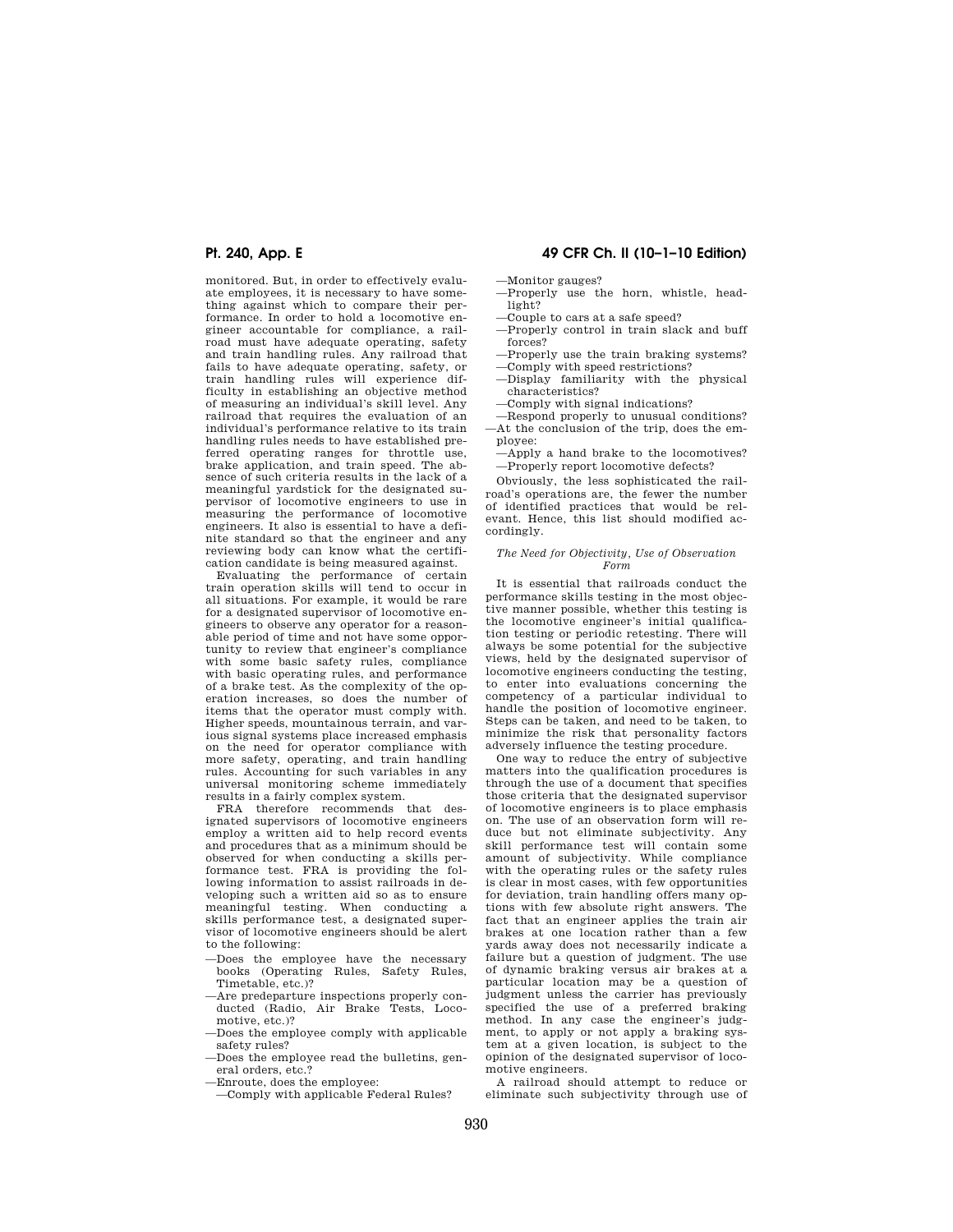monitored. But, in order to effectively evaluate employees, it is necessary to have something against which to compare their performance. In order to hold a locomotive engineer accountable for compliance, a railroad must have adequate operating, safety and train handling rules. Any railroad that fails to have adequate operating, safety, or train handling rules will experience difficulty in establishing an objective method of measuring an individual's skill level. Any railroad that requires the evaluation of an individual's performance relative to its train handling rules needs to have established preferred operating ranges for throttle use, brake application, and train speed. The absence of such criteria results in the lack of a meaningful yardstick for the designated supervisor of locomotive engineers to use in measuring the performance of locomotive engineers. It also is essential to have a definite standard so that the engineer and any reviewing body can know what the certification candidate is being measured against.

Evaluating the performance of certain train operation skills will tend to occur in all situations. For example, it would be rare for a designated supervisor of locomotive engineers to observe any operator for a reasonable period of time and not have some opportunity to review that engineer's compliance with some basic safety rules, compliance with basic operating rules, and performance of a brake test. As the complexity of the operation increases, so does the number of items that the operator must comply with. Higher speeds, mountainous terrain, and various signal systems place increased emphasis on the need for operator compliance with more safety, operating, and train handling rules. Accounting for such variables in any universal monitoring scheme immediately results in a fairly complex system.

FRA therefore recommends that designated supervisors of locomotive engineers employ a written aid to help record events and procedures that as a minimum should be observed for when conducting a skills performance test. FRA is providing the following information to assist railroads in developing such a written aid so as to ensure meaningful testing. When conducting a skills performance test, a designated supervisor of locomotive engineers should be alert to the following:

- —Does the employee have the necessary books (Operating Rules, Safety Rules, Timetable, etc.)?
- —Are predeparture inspections properly conducted (Radio, Air Brake Tests, Locomotive, etc.)?
- —Does the employee comply with applicable safety rules?
- —Does the employee read the bulletins, general orders, etc.?
- —Enroute, does the employee:
- —Comply with applicable Federal Rules?

# **Pt. 240, App. E 49 CFR Ch. II (10–1–10 Edition)**

—Monitor gauges?

- —Properly use the horn, whistle, headlight?
- —Couple to cars at a safe speed?
- —Properly control in train slack and buff forces?
- —Properly use the train braking systems?
- —Comply with speed restrictions?
- —Display familiarity with the physical characteristics?
- —Comply with signal indications?

—Respond properly to unusual conditions? —At the conclusion of the trip, does the employee:

—Apply a hand brake to the locomotives? —Properly report locomotive defects?

Obviously, the less sophisticated the railroad's operations are, the fewer the number of identified practices that would be relevant. Hence, this list should modified accordingly.

### *The Need for Objectivity, Use of Observation Form*

It is essential that railroads conduct the performance skills testing in the most objective manner possible, whether this testing is the locomotive engineer's initial qualification testing or periodic retesting. There will always be some potential for the subjective views, held by the designated supervisor of locomotive engineers conducting the testing, to enter into evaluations concerning the competency of a particular individual to handle the position of locomotive engineer. Steps can be taken, and need to be taken, to minimize the risk that personality factors adversely influence the testing procedure.

One way to reduce the entry of subjective matters into the qualification procedures is through the use of a document that specifies those criteria that the designated supervisor of locomotive engineers is to place emphasis on. The use of an observation form will reduce but not eliminate subjectivity. Any skill performance test will contain some amount of subjectivity. While compliance with the operating rules or the safety rules is clear in most cases, with few opportunities for deviation, train handling offers many options with few absolute right answers. The fact that an engineer applies the train air brakes at one location rather than a few yards away does not necessarily indicate a failure but a question of judgment. The use of dynamic braking versus air brakes at a particular location may be a question of judgment unless the carrier has previously specified the use of a preferred braking method. In any case the engineer's judgment, to apply or not apply a braking system at a given location, is subject to the opinion of the designated supervisor of locomotive engineers.

A railroad should attempt to reduce or eliminate such subjectivity through use of